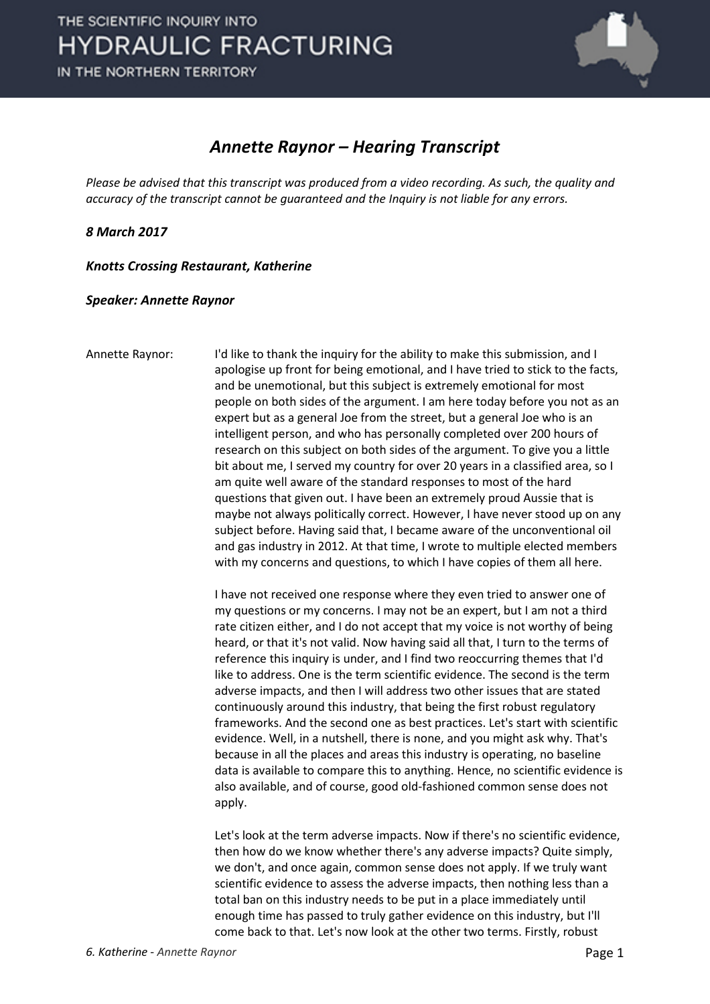

## *Annette Raynor – Hearing Transcript*

*Please be advised that this transcript was produced from a video recording. As such, the quality and accuracy of the transcript cannot be guaranteed and the Inquiry is not liable for any errors.*

*8 March 2017* 

*Knotts Crossing Restaurant, Katherine* 

*Speaker: Annette Raynor*

Annette Raynor: I'd like to thank the inquiry for the ability to make this submission, and I apologise up front for being emotional, and I have tried to stick to the facts, and be unemotional, but this subject is extremely emotional for most people on both sides of the argument. I am here today before you not as an expert but as a general Joe from the street, but a general Joe who is an intelligent person, and who has personally completed over 200 hours of research on this subject on both sides of the argument. To give you a little bit about me, I served my country for over 20 years in a classified area, so I am quite well aware of the standard responses to most of the hard questions that given out. I have been an extremely proud Aussie that is maybe not always politically correct. However, I have never stood up on any subject before. Having said that, I became aware of the unconventional oil and gas industry in 2012. At that time, I wrote to multiple elected members with my concerns and questions, to which I have copies of them all here.

> I have not received one response where they even tried to answer one of my questions or my concerns. I may not be an expert, but I am not a third rate citizen either, and I do not accept that my voice is not worthy of being heard, or that it's not valid. Now having said all that, I turn to the terms of reference this inquiry is under, and I find two reoccurring themes that I'd like to address. One is the term scientific evidence. The second is the term adverse impacts, and then I will address two other issues that are stated continuously around this industry, that being the first robust regulatory frameworks. And the second one as best practices. Let's start with scientific evidence. Well, in a nutshell, there is none, and you might ask why. That's because in all the places and areas this industry is operating, no baseline data is available to compare this to anything. Hence, no scientific evidence is also available, and of course, good old-fashioned common sense does not apply.

> Let's look at the term adverse impacts. Now if there's no scientific evidence, then how do we know whether there's any adverse impacts? Quite simply, we don't, and once again, common sense does not apply. If we truly want scientific evidence to assess the adverse impacts, then nothing less than a total ban on this industry needs to be put in a place immediately until enough time has passed to truly gather evidence on this industry, but I'll come back to that. Let's now look at the other two terms. Firstly, robust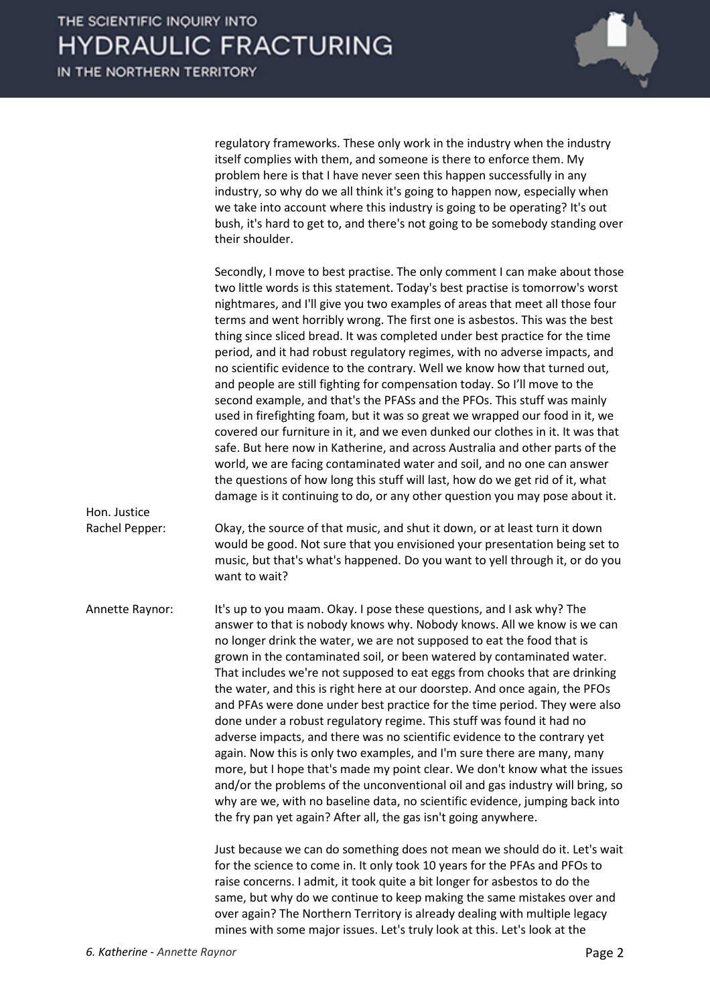

regulatory frameworks. These only work in the industry when the industry itself complies with them, and someone is there to enforce them. My problem here is that I have never seen this happen successfully in any industry, so why do we all think it's going to happen now, especially when we take into account where this industry is going to be operating? It's out bush, it's hard to get to, and there's not going to be somebody standing over their shoulder.

|                 | Secondly, I move to best practise. The only comment I can make about those<br>two little words is this statement. Today's best practise is tomorrow's worst<br>nightmares, and I'll give you two examples of areas that meet all those four<br>terms and went horribly wrong. The first one is asbestos. This was the best<br>thing since sliced bread. It was completed under best practice for the time<br>period, and it had robust regulatory regimes, with no adverse impacts, and<br>no scientific evidence to the contrary. Well we know how that turned out,<br>and people are still fighting for compensation today. So I'll move to the<br>second example, and that's the PFASs and the PFOs. This stuff was mainly<br>used in firefighting foam, but it was so great we wrapped our food in it, we<br>covered our furniture in it, and we even dunked our clothes in it. It was that<br>safe. But here now in Katherine, and across Australia and other parts of the<br>world, we are facing contaminated water and soil, and no one can answer<br>the questions of how long this stuff will last, how do we get rid of it, what<br>damage is it continuing to do, or any other question you may pose about it. |
|-----------------|----------------------------------------------------------------------------------------------------------------------------------------------------------------------------------------------------------------------------------------------------------------------------------------------------------------------------------------------------------------------------------------------------------------------------------------------------------------------------------------------------------------------------------------------------------------------------------------------------------------------------------------------------------------------------------------------------------------------------------------------------------------------------------------------------------------------------------------------------------------------------------------------------------------------------------------------------------------------------------------------------------------------------------------------------------------------------------------------------------------------------------------------------------------------------------------------------------------------------|
| Hon. Justice    |                                                                                                                                                                                                                                                                                                                                                                                                                                                                                                                                                                                                                                                                                                                                                                                                                                                                                                                                                                                                                                                                                                                                                                                                                            |
| Rachel Pepper:  | Okay, the source of that music, and shut it down, or at least turn it down<br>would be good. Not sure that you envisioned your presentation being set to<br>music, but that's what's happened. Do you want to yell through it, or do you<br>want to wait?                                                                                                                                                                                                                                                                                                                                                                                                                                                                                                                                                                                                                                                                                                                                                                                                                                                                                                                                                                  |
| Annette Raynor: | It's up to you maam. Okay. I pose these questions, and I ask why? The<br>answer to that is nobody knows why. Nobody knows. All we know is we can<br>no longer drink the water, we are not supposed to eat the food that is<br>grown in the contaminated soil, or been watered by contaminated water.<br>That includes we're not supposed to eat eggs from chooks that are drinking<br>the water, and this is right here at our doorstep. And once again, the PFOs<br>and PFAs were done under best practice for the time period. They were also<br>done under a robust regulatory regime. This stuff was found it had no<br>adverse impacts, and there was no scientific evidence to the contrary yet<br>again. Now this is only two examples, and I'm sure there are many, many<br>more, but I hope that's made my point clear. We don't know what the issues<br>and/or the problems of the unconventional oil and gas industry will bring, so<br>why are we, with no baseline data, no scientific evidence, jumping back into<br>the fry pan yet again? After all, the gas isn't going anywhere.                                                                                                                         |
|                 | Just because we can do something does not mean we should do it. Let's wait<br>for the science to come in. It only took 10 years for the PFAs and PFOs to<br>raise concerns. I admit, it took quite a bit longer for asbestos to do the<br>same, but why do we continue to keep making the same mistakes over and                                                                                                                                                                                                                                                                                                                                                                                                                                                                                                                                                                                                                                                                                                                                                                                                                                                                                                           |

over again? The Northern Territory is already dealing with multiple legacy mines with some major issues. Let's truly look at this. Let's look at the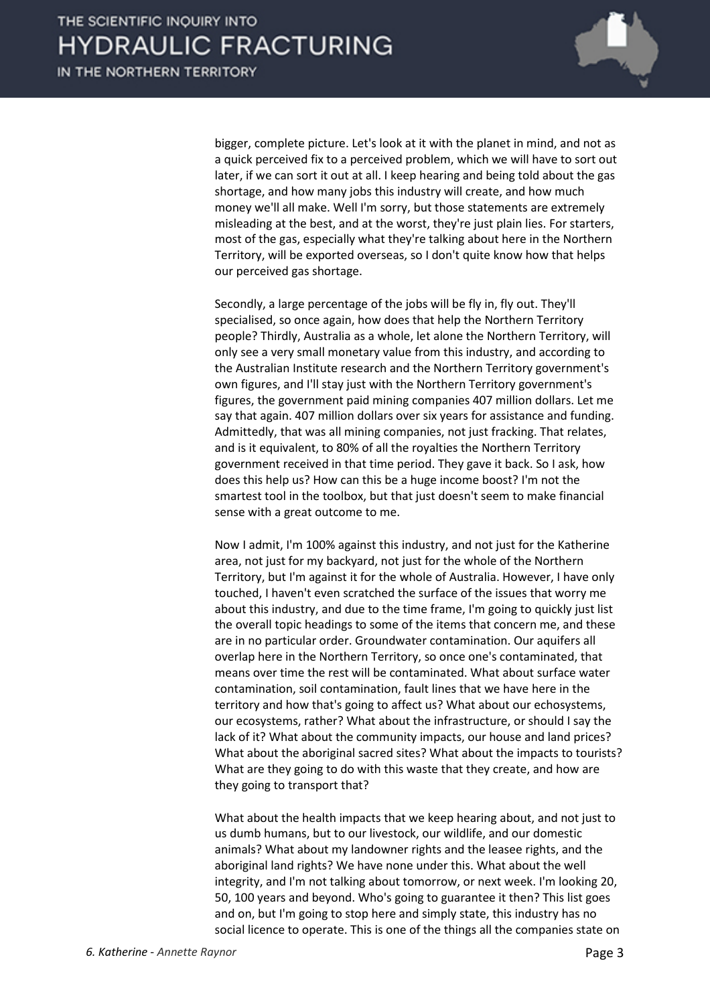

bigger, complete picture. Let's look at it with the planet in mind, and not as a quick perceived fix to a perceived problem, which we will have to sort out later, if we can sort it out at all. I keep hearing and being told about the gas shortage, and how many jobs this industry will create, and how much money we'll all make. Well I'm sorry, but those statements are extremely misleading at the best, and at the worst, they're just plain lies. For starters, most of the gas, especially what they're talking about here in the Northern Territory, will be exported overseas, so I don't quite know how that helps our perceived gas shortage.

Secondly, a large percentage of the jobs will be fly in, fly out. They'll specialised, so once again, how does that help the Northern Territory people? Thirdly, Australia as a whole, let alone the Northern Territory, will only see a very small monetary value from this industry, and according to the Australian Institute research and the Northern Territory government's own figures, and I'll stay just with the Northern Territory government's figures, the government paid mining companies 407 million dollars. Let me say that again. 407 million dollars over six years for assistance and funding. Admittedly, that was all mining companies, not just fracking. That relates, and is it equivalent, to 80% of all the royalties the Northern Territory government received in that time period. They gave it back. So I ask, how does this help us? How can this be a huge income boost? I'm not the smartest tool in the toolbox, but that just doesn't seem to make financial sense with a great outcome to me.

Now I admit, I'm 100% against this industry, and not just for the Katherine area, not just for my backyard, not just for the whole of the Northern Territory, but I'm against it for the whole of Australia. However, I have only touched, I haven't even scratched the surface of the issues that worry me about this industry, and due to the time frame, I'm going to quickly just list the overall topic headings to some of the items that concern me, and these are in no particular order. Groundwater contamination. Our aquifers all overlap here in the Northern Territory, so once one's contaminated, that means over time the rest will be contaminated. What about surface water contamination, soil contamination, fault lines that we have here in the territory and how that's going to affect us? What about our echosystems, our ecosystems, rather? What about the infrastructure, or should I say the lack of it? What about the community impacts, our house and land prices? What about the aboriginal sacred sites? What about the impacts to tourists? What are they going to do with this waste that they create, and how are they going to transport that?

What about the health impacts that we keep hearing about, and not just to us dumb humans, but to our livestock, our wildlife, and our domestic animals? What about my landowner rights and the leasee rights, and the aboriginal land rights? We have none under this. What about the well integrity, and I'm not talking about tomorrow, or next week. I'm looking 20, 50, 100 years and beyond. Who's going to guarantee it then? This list goes and on, but I'm going to stop here and simply state, this industry has no social licence to operate. This is one of the things all the companies state on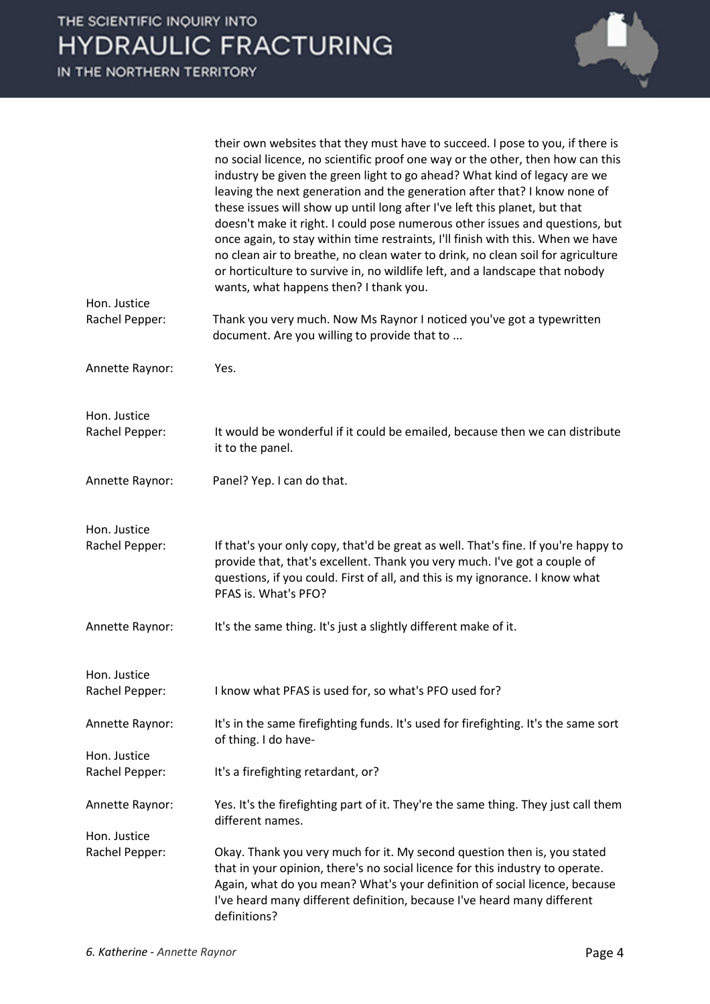| $-10 - 111$<br>$\sim$<br>.<br>HE NORTHERN TERRITORY |                                                                                                                                                                                                                                                                                                                                                                                                                                                                                                                                                                                                                                                                                                                                                                                         |  |
|-----------------------------------------------------|-----------------------------------------------------------------------------------------------------------------------------------------------------------------------------------------------------------------------------------------------------------------------------------------------------------------------------------------------------------------------------------------------------------------------------------------------------------------------------------------------------------------------------------------------------------------------------------------------------------------------------------------------------------------------------------------------------------------------------------------------------------------------------------------|--|
|                                                     |                                                                                                                                                                                                                                                                                                                                                                                                                                                                                                                                                                                                                                                                                                                                                                                         |  |
| Hon. Justice                                        | their own websites that they must have to succeed. I pose to you, if there is<br>no social licence, no scientific proof one way or the other, then how can this<br>industry be given the green light to go ahead? What kind of legacy are we<br>leaving the next generation and the generation after that? I know none of<br>these issues will show up until long after I've left this planet, but that<br>doesn't make it right. I could pose numerous other issues and questions, but<br>once again, to stay within time restraints, I'll finish with this. When we have<br>no clean air to breathe, no clean water to drink, no clean soil for agriculture<br>or horticulture to survive in, no wildlife left, and a landscape that nobody<br>wants, what happens then? I thank you. |  |
| Rachel Pepper:                                      | Thank you very much. Now Ms Raynor I noticed you've got a typewritten<br>document. Are you willing to provide that to                                                                                                                                                                                                                                                                                                                                                                                                                                                                                                                                                                                                                                                                   |  |
| Annette Raynor:                                     | Yes.                                                                                                                                                                                                                                                                                                                                                                                                                                                                                                                                                                                                                                                                                                                                                                                    |  |
| Hon. Justice                                        |                                                                                                                                                                                                                                                                                                                                                                                                                                                                                                                                                                                                                                                                                                                                                                                         |  |
| Rachel Pepper:                                      | It would be wonderful if it could be emailed, because then we can distribute<br>it to the panel.                                                                                                                                                                                                                                                                                                                                                                                                                                                                                                                                                                                                                                                                                        |  |
| Annette Raynor:                                     | Panel? Yep. I can do that.                                                                                                                                                                                                                                                                                                                                                                                                                                                                                                                                                                                                                                                                                                                                                              |  |
| Hon. Justice                                        |                                                                                                                                                                                                                                                                                                                                                                                                                                                                                                                                                                                                                                                                                                                                                                                         |  |
| Rachel Pepper:                                      | If that's your only copy, that'd be great as well. That's fine. If you're happy to<br>provide that, that's excellent. Thank you very much. I've got a couple of<br>questions, if you could. First of all, and this is my ignorance. I know what<br>PFAS is. What's PFO?                                                                                                                                                                                                                                                                                                                                                                                                                                                                                                                 |  |
| Annette Raynor:                                     | It's the same thing. It's just a slightly different make of it.                                                                                                                                                                                                                                                                                                                                                                                                                                                                                                                                                                                                                                                                                                                         |  |
| Hon. Justice                                        |                                                                                                                                                                                                                                                                                                                                                                                                                                                                                                                                                                                                                                                                                                                                                                                         |  |
| Rachel Pepper:                                      | I know what PFAS is used for, so what's PFO used for?                                                                                                                                                                                                                                                                                                                                                                                                                                                                                                                                                                                                                                                                                                                                   |  |
| Annette Raynor:                                     | It's in the same firefighting funds. It's used for firefighting. It's the same sort<br>of thing. I do have-                                                                                                                                                                                                                                                                                                                                                                                                                                                                                                                                                                                                                                                                             |  |
| Hon. Justice                                        |                                                                                                                                                                                                                                                                                                                                                                                                                                                                                                                                                                                                                                                                                                                                                                                         |  |
| Rachel Pepper:                                      | It's a firefighting retardant, or?                                                                                                                                                                                                                                                                                                                                                                                                                                                                                                                                                                                                                                                                                                                                                      |  |
| Annette Raynor:                                     | Yes. It's the firefighting part of it. They're the same thing. They just call them<br>different names.                                                                                                                                                                                                                                                                                                                                                                                                                                                                                                                                                                                                                                                                                  |  |
| Hon. Justice<br>Rachel Pepper:                      | Okay. Thank you very much for it. My second question then is, you stated<br>that in your opinion, there's no social licence for this industry to operate.<br>Again, what do you mean? What's your definition of social licence, because<br>I've heard many different definition, because I've heard many different                                                                                                                                                                                                                                                                                                                                                                                                                                                                      |  |

definitions?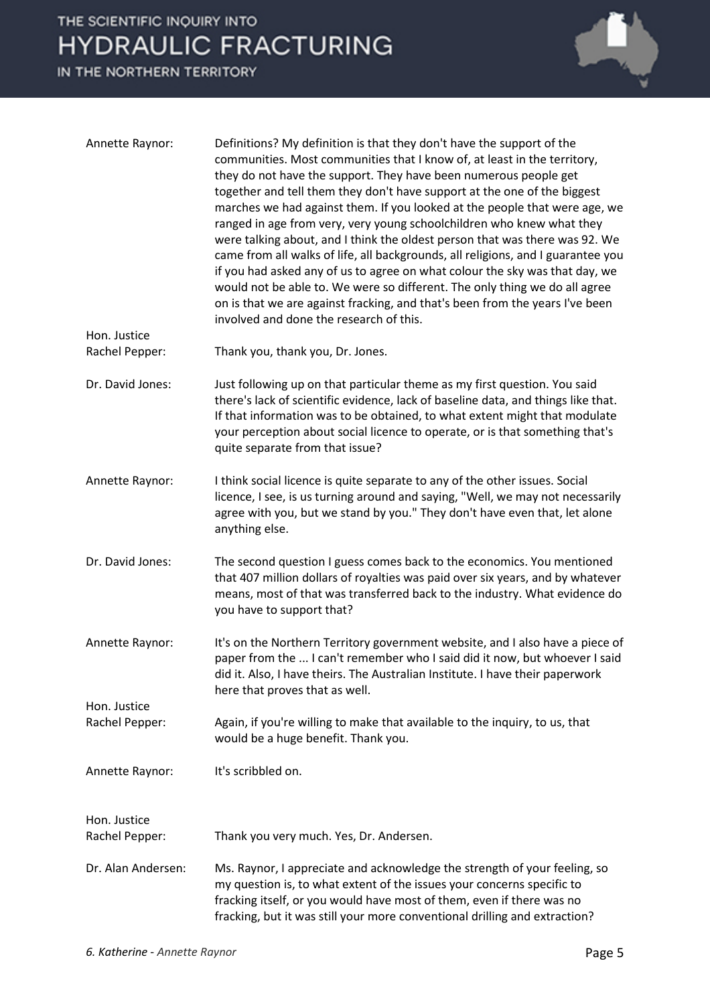## THE SCIENTIFIC INQUIRY INTO **HYDRAULIC FRACTURING**

IN THE NORTHERN TERRITORY



| Annette Raynor:                | Definitions? My definition is that they don't have the support of the<br>communities. Most communities that I know of, at least in the territory,<br>they do not have the support. They have been numerous people get<br>together and tell them they don't have support at the one of the biggest<br>marches we had against them. If you looked at the people that were age, we<br>ranged in age from very, very young schoolchildren who knew what they<br>were talking about, and I think the oldest person that was there was 92. We<br>came from all walks of life, all backgrounds, all religions, and I guarantee you<br>if you had asked any of us to agree on what colour the sky was that day, we<br>would not be able to. We were so different. The only thing we do all agree<br>on is that we are against fracking, and that's been from the years I've been<br>involved and done the research of this. |
|--------------------------------|---------------------------------------------------------------------------------------------------------------------------------------------------------------------------------------------------------------------------------------------------------------------------------------------------------------------------------------------------------------------------------------------------------------------------------------------------------------------------------------------------------------------------------------------------------------------------------------------------------------------------------------------------------------------------------------------------------------------------------------------------------------------------------------------------------------------------------------------------------------------------------------------------------------------|
| Hon. Justice<br>Rachel Pepper: | Thank you, thank you, Dr. Jones.                                                                                                                                                                                                                                                                                                                                                                                                                                                                                                                                                                                                                                                                                                                                                                                                                                                                                    |
| Dr. David Jones:               | Just following up on that particular theme as my first question. You said<br>there's lack of scientific evidence, lack of baseline data, and things like that.<br>If that information was to be obtained, to what extent might that modulate<br>your perception about social licence to operate, or is that something that's<br>quite separate from that issue?                                                                                                                                                                                                                                                                                                                                                                                                                                                                                                                                                     |
| Annette Raynor:                | I think social licence is quite separate to any of the other issues. Social<br>licence, I see, is us turning around and saying, "Well, we may not necessarily<br>agree with you, but we stand by you." They don't have even that, let alone<br>anything else.                                                                                                                                                                                                                                                                                                                                                                                                                                                                                                                                                                                                                                                       |
| Dr. David Jones:               | The second question I guess comes back to the economics. You mentioned<br>that 407 million dollars of royalties was paid over six years, and by whatever<br>means, most of that was transferred back to the industry. What evidence do<br>you have to support that?                                                                                                                                                                                                                                                                                                                                                                                                                                                                                                                                                                                                                                                 |
| Annette Raynor:                | It's on the Northern Territory government website, and I also have a piece of<br>paper from the  I can't remember who I said did it now, but whoever I said<br>did it. Also, I have theirs. The Australian Institute. I have their paperwork<br>here that proves that as well.                                                                                                                                                                                                                                                                                                                                                                                                                                                                                                                                                                                                                                      |
| Hon. Justice<br>Rachel Pepper: | Again, if you're willing to make that available to the inquiry, to us, that<br>would be a huge benefit. Thank you.                                                                                                                                                                                                                                                                                                                                                                                                                                                                                                                                                                                                                                                                                                                                                                                                  |
| Annette Raynor:                | It's scribbled on.                                                                                                                                                                                                                                                                                                                                                                                                                                                                                                                                                                                                                                                                                                                                                                                                                                                                                                  |
| Hon. Justice<br>Rachel Pepper: | Thank you very much. Yes, Dr. Andersen.                                                                                                                                                                                                                                                                                                                                                                                                                                                                                                                                                                                                                                                                                                                                                                                                                                                                             |
| Dr. Alan Andersen:             | Ms. Raynor, I appreciate and acknowledge the strength of your feeling, so<br>my question is, to what extent of the issues your concerns specific to<br>fracking itself, or you would have most of them, even if there was no<br>fracking, but it was still your more conventional drilling and extraction?                                                                                                                                                                                                                                                                                                                                                                                                                                                                                                                                                                                                          |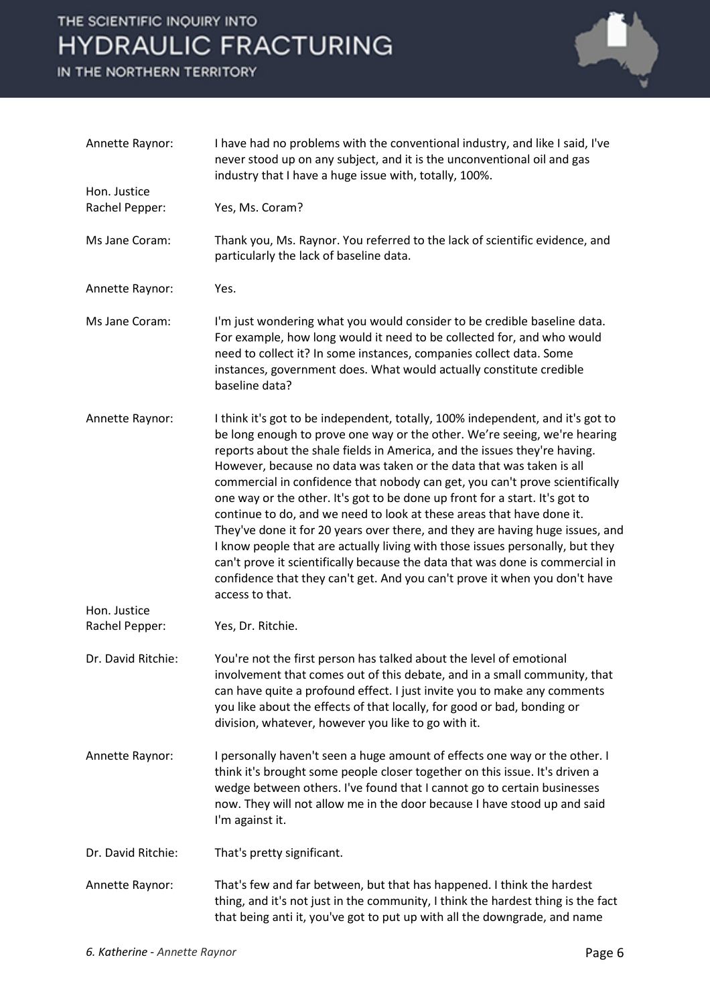## THE SCIENTIFIC INQUIRY INTO **HYDRAULIC FRACTURING**

IN THE NORTHERN TERRITORY



| Annette Raynor:                | I have had no problems with the conventional industry, and like I said, I've<br>never stood up on any subject, and it is the unconventional oil and gas<br>industry that I have a huge issue with, totally, 100%.                                                                                                                                                                                                                                                                                                                                                                                                                                                                                                                                                                                                                                                                                            |
|--------------------------------|--------------------------------------------------------------------------------------------------------------------------------------------------------------------------------------------------------------------------------------------------------------------------------------------------------------------------------------------------------------------------------------------------------------------------------------------------------------------------------------------------------------------------------------------------------------------------------------------------------------------------------------------------------------------------------------------------------------------------------------------------------------------------------------------------------------------------------------------------------------------------------------------------------------|
| Hon. Justice                   |                                                                                                                                                                                                                                                                                                                                                                                                                                                                                                                                                                                                                                                                                                                                                                                                                                                                                                              |
| Rachel Pepper:                 | Yes, Ms. Coram?                                                                                                                                                                                                                                                                                                                                                                                                                                                                                                                                                                                                                                                                                                                                                                                                                                                                                              |
| Ms Jane Coram:                 | Thank you, Ms. Raynor. You referred to the lack of scientific evidence, and<br>particularly the lack of baseline data.                                                                                                                                                                                                                                                                                                                                                                                                                                                                                                                                                                                                                                                                                                                                                                                       |
| Annette Raynor:                | Yes.                                                                                                                                                                                                                                                                                                                                                                                                                                                                                                                                                                                                                                                                                                                                                                                                                                                                                                         |
| Ms Jane Coram:                 | I'm just wondering what you would consider to be credible baseline data.<br>For example, how long would it need to be collected for, and who would<br>need to collect it? In some instances, companies collect data. Some<br>instances, government does. What would actually constitute credible<br>baseline data?                                                                                                                                                                                                                                                                                                                                                                                                                                                                                                                                                                                           |
| Annette Raynor:                | I think it's got to be independent, totally, 100% independent, and it's got to<br>be long enough to prove one way or the other. We're seeing, we're hearing<br>reports about the shale fields in America, and the issues they're having.<br>However, because no data was taken or the data that was taken is all<br>commercial in confidence that nobody can get, you can't prove scientifically<br>one way or the other. It's got to be done up front for a start. It's got to<br>continue to do, and we need to look at these areas that have done it.<br>They've done it for 20 years over there, and they are having huge issues, and<br>I know people that are actually living with those issues personally, but they<br>can't prove it scientifically because the data that was done is commercial in<br>confidence that they can't get. And you can't prove it when you don't have<br>access to that. |
| Hon. Justice<br>Rachel Pepper: | Yes, Dr. Ritchie.                                                                                                                                                                                                                                                                                                                                                                                                                                                                                                                                                                                                                                                                                                                                                                                                                                                                                            |
| Dr. David Ritchie:             | You're not the first person has talked about the level of emotional<br>involvement that comes out of this debate, and in a small community, that<br>can have quite a profound effect. I just invite you to make any comments<br>you like about the effects of that locally, for good or bad, bonding or<br>division, whatever, however you like to go with it.                                                                                                                                                                                                                                                                                                                                                                                                                                                                                                                                               |
| Annette Raynor:                | I personally haven't seen a huge amount of effects one way or the other. I<br>think it's brought some people closer together on this issue. It's driven a<br>wedge between others. I've found that I cannot go to certain businesses<br>now. They will not allow me in the door because I have stood up and said<br>I'm against it.                                                                                                                                                                                                                                                                                                                                                                                                                                                                                                                                                                          |
| Dr. David Ritchie:             | That's pretty significant.                                                                                                                                                                                                                                                                                                                                                                                                                                                                                                                                                                                                                                                                                                                                                                                                                                                                                   |
| Annette Raynor:                | That's few and far between, but that has happened. I think the hardest<br>thing, and it's not just in the community, I think the hardest thing is the fact<br>that being anti it, you've got to put up with all the downgrade, and name                                                                                                                                                                                                                                                                                                                                                                                                                                                                                                                                                                                                                                                                      |